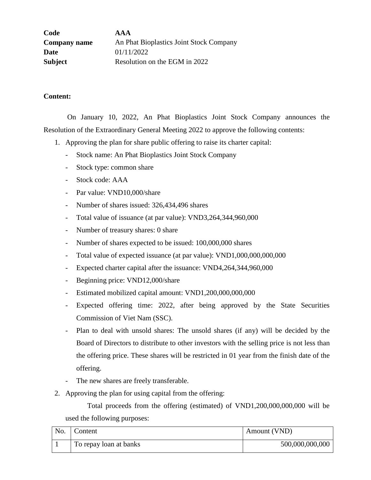| Code                | <b>AAA</b>                              |
|---------------------|-----------------------------------------|
| <b>Company name</b> | An Phat Bioplastics Joint Stock Company |
| Date                | 01/11/2022                              |
| <b>Subject</b>      | Resolution on the EGM in 2022           |

## **Content:**

 On January 10, 2022, An Phat Bioplastics Joint Stock Company announces the Resolution of the Extraordinary General Meeting 2022 to approve the following contents:

- 1. Approving the plan for share public offering to raise its charter capital:
	- Stock name: An Phat Bioplastics Joint Stock Company
	- Stock type: common share
	- Stock code: AAA
	- Par value: VND10,000/share
	- Number of shares issued: 326,434,496 shares
	- Total value of issuance (at par value): VND3,264,344,960,000
	- Number of treasury shares: 0 share
	- Number of shares expected to be issued: 100,000,000 shares
	- Total value of expected issuance (at par value): VND1,000,000,000,000
	- Expected charter capital after the issuance: VND4,264,344,960,000
	- Beginning price: VND12,000/share
	- Estimated mobilized capital amount: VND1,200,000,000,000
	- Expected offering time: 2022, after being approved by the State Securities Commission of Viet Nam (SSC).
	- Plan to deal with unsold shares: The unsold shares (if any) will be decided by the Board of Directors to distribute to other investors with the selling price is not less than the offering price. These shares will be restricted in 01 year from the finish date of the offering.
	- The new shares are freely transferable.
- 2. Approving the plan for using capital from the offering:

Total proceeds from the offering (estimated) of VND1,200,000,000,000 will be used the following purposes:

| No. | Content                | Amount (VND)    |
|-----|------------------------|-----------------|
|     | To repay loan at banks | 500,000,000,000 |